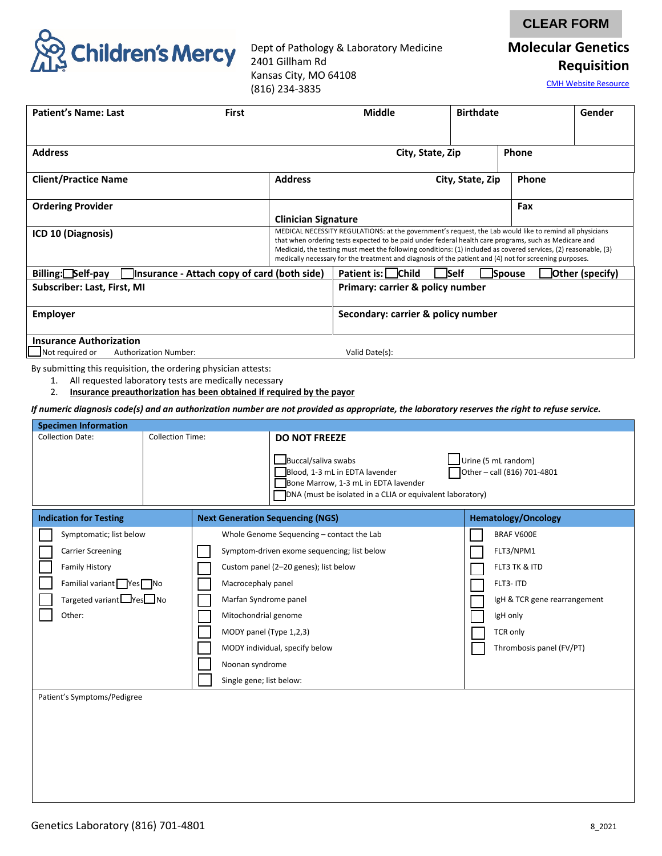



Dept of Pathology & Laboratory Medicine 2401 Gillham Rd Kansas City, MO 64108 (816) 234-3835

## **Molecular Genetics Requisition**

[CMH Website Resource](https://www.childrensmercy.org/health-care-providers/pathology-and-laboratory-medicine/)

| <b>Patient's Name: Last</b>                                                       | First                                       | <b>Middle</b>                                                                                                                                                                                                                                                                                                                                                                                                                                 | <b>Birthdate</b> |               | Gender          |  |
|-----------------------------------------------------------------------------------|---------------------------------------------|-----------------------------------------------------------------------------------------------------------------------------------------------------------------------------------------------------------------------------------------------------------------------------------------------------------------------------------------------------------------------------------------------------------------------------------------------|------------------|---------------|-----------------|--|
|                                                                                   |                                             |                                                                                                                                                                                                                                                                                                                                                                                                                                               |                  |               |                 |  |
| <b>Address</b>                                                                    |                                             | City, State, Zip                                                                                                                                                                                                                                                                                                                                                                                                                              |                  | Phone         |                 |  |
| <b>Client/Practice Name</b>                                                       | <b>Address</b>                              |                                                                                                                                                                                                                                                                                                                                                                                                                                               | City, State, Zip | <b>Phone</b>  |                 |  |
| <b>Ordering Provider</b>                                                          | <b>Clinician Signature</b>                  |                                                                                                                                                                                                                                                                                                                                                                                                                                               |                  | Fax           |                 |  |
| ICD 10 (Diagnosis)                                                                |                                             | MEDICAL NECESSITY REGULATIONS: at the government's request, the Lab would like to remind all physicians<br>that when ordering tests expected to be paid under federal health care programs, such as Medicare and<br>Medicaid, the testing must meet the following conditions: (1) included as covered services, (2) reasonable, (3)<br>medically necessary for the treatment and diagnosis of the patient and (4) not for screening purposes. |                  |               |                 |  |
| Billing: Self-pay                                                                 | Insurance - Attach copy of card (both side) | Patient is: Child                                                                                                                                                                                                                                                                                                                                                                                                                             | <b>Self</b>      | <b>Spouse</b> | Other (specify) |  |
| Subscriber: Last, First, MI                                                       | Primary: carrier & policy number            |                                                                                                                                                                                                                                                                                                                                                                                                                                               |                  |               |                 |  |
| <b>Employer</b>                                                                   | Secondary: carrier & policy number          |                                                                                                                                                                                                                                                                                                                                                                                                                                               |                  |               |                 |  |
| <b>Insurance Authorization</b><br>Not required or<br><b>Authorization Number:</b> |                                             | Valid Date(s):                                                                                                                                                                                                                                                                                                                                                                                                                                |                  |               |                 |  |

By submitting this requisition, the ordering physician attests:

- 1. All requested laboratory tests are medically necessary
- 2. **Insurance preauthorization has been obtained if required by the payor**

*If numeric diagnosis code(s) and an authorization number are not provided as appropriate, the laboratory reserves the right to refuse service.*

| <b>Specimen Information</b>                        |  |                                             |                                                                                                                                                            |  |                                                    |  |  |  |
|----------------------------------------------------|--|---------------------------------------------|------------------------------------------------------------------------------------------------------------------------------------------------------------|--|----------------------------------------------------|--|--|--|
| <b>Collection Time:</b><br><b>Collection Date:</b> |  |                                             | <b>DO NOT FREEZE</b>                                                                                                                                       |  |                                                    |  |  |  |
|                                                    |  |                                             | Buccal/saliva swabs<br>Blood, 1-3 mL in EDTA lavender<br>Bone Marrow, 1-3 mL in EDTA lavender<br>DNA (must be isolated in a CLIA or equivalent laboratory) |  | Urine (5 mL random)<br>Other - call (816) 701-4801 |  |  |  |
| <b>Indication for Testing</b>                      |  |                                             | <b>Next Generation Sequencing (NGS)</b>                                                                                                                    |  | <b>Hematology/Oncology</b>                         |  |  |  |
| Symptomatic; list below                            |  |                                             | Whole Genome Sequencing - contact the Lab                                                                                                                  |  | BRAF V600E                                         |  |  |  |
| <b>Carrier Screening</b>                           |  | Symptom-driven exome sequencing; list below |                                                                                                                                                            |  | FLT3/NPM1                                          |  |  |  |
| <b>Family History</b>                              |  | Custom panel (2-20 genes); list below       |                                                                                                                                                            |  | FLT3 TK & ITD                                      |  |  |  |
| Familial variant Yes No                            |  |                                             | Macrocephaly panel                                                                                                                                         |  | FLT3-ITD                                           |  |  |  |
| Targeted variant Pres No                           |  |                                             | Marfan Syndrome panel                                                                                                                                      |  | IgH & TCR gene rearrangement                       |  |  |  |
| Other:                                             |  |                                             | Mitochondrial genome                                                                                                                                       |  | IgH only                                           |  |  |  |
|                                                    |  | MODY panel (Type 1,2,3)                     |                                                                                                                                                            |  | TCR only                                           |  |  |  |
|                                                    |  |                                             | MODY individual, specify below                                                                                                                             |  | Thrombosis panel (FV/PT)                           |  |  |  |
|                                                    |  | Noonan syndrome                             |                                                                                                                                                            |  |                                                    |  |  |  |
|                                                    |  | Single gene; list below:                    |                                                                                                                                                            |  |                                                    |  |  |  |
| Patient's Symptoms/Pedigree                        |  |                                             |                                                                                                                                                            |  |                                                    |  |  |  |